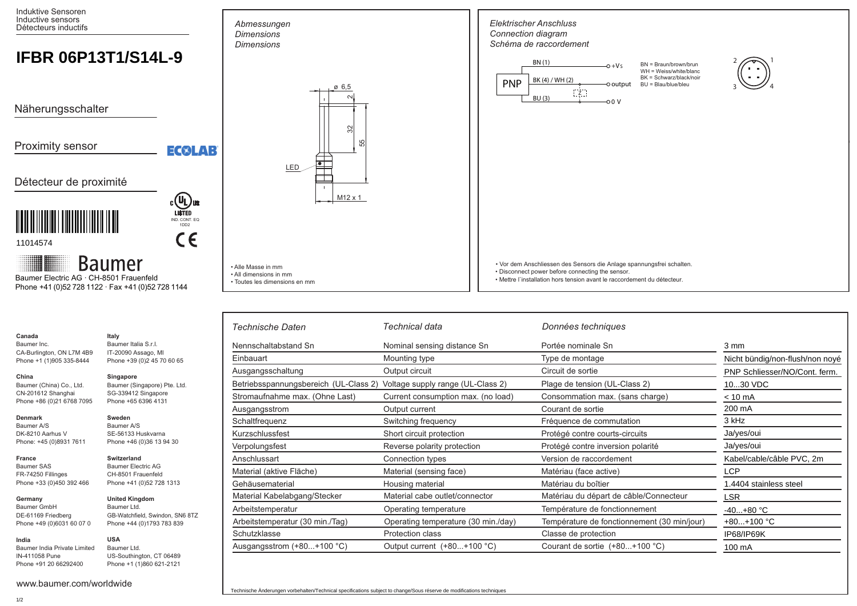Induktive Sensoren Inductive sensors Détecteurs inductifs

## **IFBR 06P13T1/S14L-9**

Näherungsschalter

Proximity sensor

EC®LAB

IND. CONT. EQ 1DD2

 $c\epsilon$ 

## Détecteur de proximité



11014574

# **Baumer**

 Phone +41 (0)52 728 1122 · Fax +41 (0)52 728 1144 Baumer Electric AG · CH-8501 Frauenfeld

> **Italy** Baumer Italia S.r.l. IT-20090 Assago, MI Phone +39 (0)2 45 70 60 65

| Canada                    |  |  |  |
|---------------------------|--|--|--|
| Baumer Inc.               |  |  |  |
| CA-Burlington, ON L7M 4B9 |  |  |  |
| Phone +1 (1)905 335-8444  |  |  |  |
|                           |  |  |  |
| China                     |  |  |  |
| Baumer (China) Co., Ltd.  |  |  |  |
| CN-201612 Shanghai        |  |  |  |

Phone +86 (0)21 6768 7095 **Singapore** Baumer (Singapore) Pte. Ltd. SG-339412 Singapore Phone +65 6396 4131

> **Sweden** Baumer A/S SE-56133 Huskvarna Phone +46 (0)36 13 94 30

**Switzerland** Baumer Electric AG CH-8501 Frauenfeld Phone +41 (0)52 728 1313

## **Denmark**

Baumer A/S DK-8210 Aarhus V Phone: +45 (0)8931 7611

### **France** Baumer SAS FR-74250 Fillinges

Phone +33 (0)450 392 466 **Germany**  Baumer GmbH

#### DE-61169 Friedberg **United Kingdom** Baumer Ltd. GB-Watchfield, Swindon, SN6 8TZ

Phone +49 (0)6031 60 07 0 Phone +44 (0)1793 783 839

#### Baumer India Private Limited IN-411058 Pune Phone +91 20 66292400 **USA**

www.baumer.com/worldwide





• Alle Masse in mm • All dimensions in mm • Toutes les dimensions en mm

*Abmessungen* 



• Mettre l`installation hors tension avant le raccordement du détecteur.

| Technische Daten                      | Technical data                      | Données techniques                          |                                 |
|---------------------------------------|-------------------------------------|---------------------------------------------|---------------------------------|
| Nennschaltabstand Sn                  | Nominal sensing distance Sn         | Portée nominale Sn                          | 3 mm                            |
| Einbauart                             | Mounting type                       | Type de montage                             | Nicht bündig/non-flush/non noyé |
| Ausgangsschaltung                     | Output circuit                      | Circuit de sortie                           | PNP Schliesser/NO/Cont. ferm.   |
| Betriebsspannungsbereich (UL-Class 2) | Voltage supply range (UL-Class 2)   | Plage de tension (UL-Class 2)               | 1030 VDC                        |
| Stromaufnahme max. (Ohne Last)        | Current consumption max. (no load)  | Consommation max. (sans charge)             | $< 10 \text{ mA}$               |
| Ausgangsstrom                         | Output current                      | Courant de sortie                           | 200 mA                          |
| Schaltfrequenz                        | Switching frequency                 | Fréquence de commutation                    | 3 kHz                           |
| Kurzschlussfest                       | Short circuit protection            | Protégé contre courts-circuits              | Ja/yes/oui                      |
| Verpolungsfest                        | Reverse polarity protection         | Protégé contre inversion polarité           | Ja/yes/oui                      |
| Anschlussart                          | Connection types                    | Version de raccordement                     | Kabel/cable/câble PVC, 2m       |
| Material (aktive Fläche)              | Material (sensing face)             | Matériau (face active)                      | LCP                             |
| Gehäusematerial                       | Housing material                    | Matériau du boîtier                         | 1.4404 stainless steel          |
| Material Kabelabgang/Stecker          | Material cabe outlet/connector      | Matériau du départ de câble/Connecteur      | <b>LSR</b>                      |
| Arbeitstemperatur                     | Operating temperature               | Température de fonctionnement               | $-40+80 °C$                     |
| Arbeitstemperatur (30 min./Tag)       | Operating temperature (30 min./day) | Température de fonctionnement (30 min/jour) | $+80+100$ °C                    |
| Schutzklasse                          | <b>Protection class</b>             | Classe de protection                        | IP68/IP69K                      |
| Ausgangsstrom (+80+100 °C)            | Output current $(+80+100 °C)$       | Courant de sortie (+80+100 °C)              | 100 mA                          |

**India**